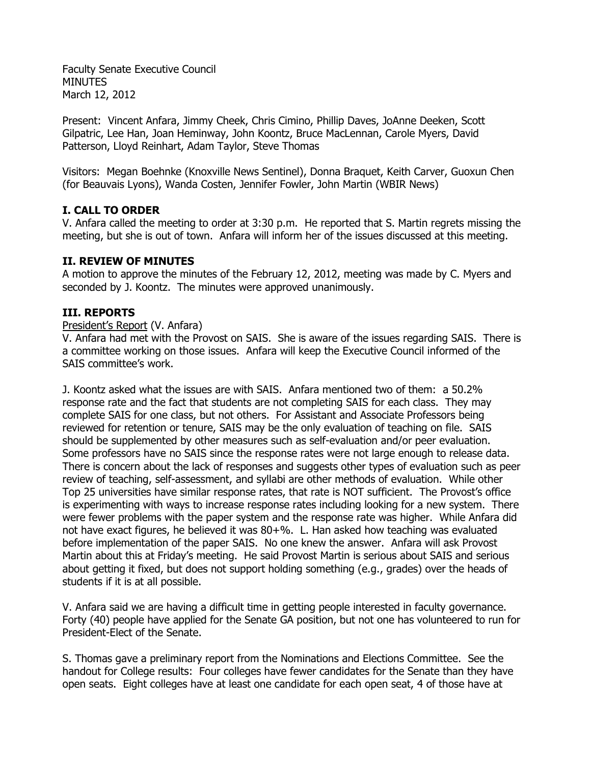Faculty Senate Executive Council **MINUTES** March 12, 2012

Present: Vincent Anfara, Jimmy Cheek, Chris Cimino, Phillip Daves, JoAnne Deeken, Scott Gilpatric, Lee Han, Joan Heminway, John Koontz, Bruce MacLennan, Carole Myers, David Patterson, Lloyd Reinhart, Adam Taylor, Steve Thomas

Visitors: Megan Boehnke (Knoxville News Sentinel), Donna Braquet, Keith Carver, Guoxun Chen (for Beauvais Lyons), Wanda Costen, Jennifer Fowler, John Martin (WBIR News)

# **I. CALL TO ORDER**

V. Anfara called the meeting to order at 3:30 p.m. He reported that S. Martin regrets missing the meeting, but she is out of town. Anfara will inform her of the issues discussed at this meeting.

## **II. REVIEW OF MINUTES**

A motion to approve the minutes of the February 12, 2012, meeting was made by C. Myers and seconded by J. Koontz. The minutes were approved unanimously.

# **III. REPORTS**

### President's Report (V. Anfara)

V. Anfara had met with the Provost on SAIS. She is aware of the issues regarding SAIS. There is a committee working on those issues. Anfara will keep the Executive Council informed of the SAIS committee's work.

J. Koontz asked what the issues are with SAIS. Anfara mentioned two of them: a 50.2% response rate and the fact that students are not completing SAIS for each class. They may complete SAIS for one class, but not others. For Assistant and Associate Professors being reviewed for retention or tenure, SAIS may be the only evaluation of teaching on file. SAIS should be supplemented by other measures such as self-evaluation and/or peer evaluation. Some professors have no SAIS since the response rates were not large enough to release data. There is concern about the lack of responses and suggests other types of evaluation such as peer review of teaching, self-assessment, and syllabi are other methods of evaluation. While other Top 25 universities have similar response rates, that rate is NOT sufficient. The Provost's office is experimenting with ways to increase response rates including looking for a new system. There were fewer problems with the paper system and the response rate was higher. While Anfara did not have exact figures, he believed it was 80+%. L. Han asked how teaching was evaluated before implementation of the paper SAIS. No one knew the answer. Anfara will ask Provost Martin about this at Friday's meeting. He said Provost Martin is serious about SAIS and serious about getting it fixed, but does not support holding something (e.g., grades) over the heads of students if it is at all possible.

V. Anfara said we are having a difficult time in getting people interested in faculty governance. Forty (40) people have applied for the Senate GA position, but not one has volunteered to run for President-Elect of the Senate.

S. Thomas gave a preliminary report from the Nominations and Elections Committee. See the handout for College results: Four colleges have fewer candidates for the Senate than they have open seats. Eight colleges have at least one candidate for each open seat, 4 of those have at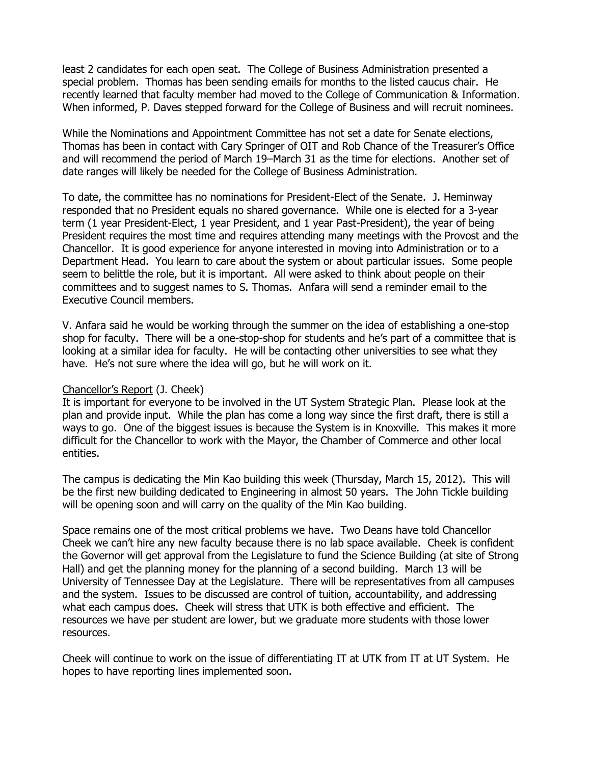least 2 candidates for each open seat. The College of Business Administration presented a special problem. Thomas has been sending emails for months to the listed caucus chair. He recently learned that faculty member had moved to the College of Communication & Information. When informed, P. Daves stepped forward for the College of Business and will recruit nominees.

While the Nominations and Appointment Committee has not set a date for Senate elections, Thomas has been in contact with Cary Springer of OIT and Rob Chance of the Treasurer's Office and will recommend the period of March 19–March 31 as the time for elections. Another set of date ranges will likely be needed for the College of Business Administration.

To date, the committee has no nominations for President-Elect of the Senate. J. Heminway responded that no President equals no shared governance. While one is elected for a 3-year term (1 year President-Elect, 1 year President, and 1 year Past-President), the year of being President requires the most time and requires attending many meetings with the Provost and the Chancellor. It is good experience for anyone interested in moving into Administration or to a Department Head. You learn to care about the system or about particular issues. Some people seem to belittle the role, but it is important. All were asked to think about people on their committees and to suggest names to S. Thomas. Anfara will send a reminder email to the Executive Council members.

V. Anfara said he would be working through the summer on the idea of establishing a one-stop shop for faculty. There will be a one-stop-shop for students and he's part of a committee that is looking at a similar idea for faculty. He will be contacting other universities to see what they have. He's not sure where the idea will go, but he will work on it.

### Chancellor's Report (J. Cheek)

It is important for everyone to be involved in the UT System Strategic Plan. Please look at the plan and provide input. While the plan has come a long way since the first draft, there is still a ways to go. One of the biggest issues is because the System is in Knoxville. This makes it more difficult for the Chancellor to work with the Mayor, the Chamber of Commerce and other local entities.

The campus is dedicating the Min Kao building this week (Thursday, March 15, 2012). This will be the first new building dedicated to Engineering in almost 50 years. The John Tickle building will be opening soon and will carry on the quality of the Min Kao building.

Space remains one of the most critical problems we have. Two Deans have told Chancellor Cheek we can't hire any new faculty because there is no lab space available. Cheek is confident the Governor will get approval from the Legislature to fund the Science Building (at site of Strong Hall) and get the planning money for the planning of a second building. March 13 will be University of Tennessee Day at the Legislature. There will be representatives from all campuses and the system. Issues to be discussed are control of tuition, accountability, and addressing what each campus does. Cheek will stress that UTK is both effective and efficient. The resources we have per student are lower, but we graduate more students with those lower resources.

Cheek will continue to work on the issue of differentiating IT at UTK from IT at UT System. He hopes to have reporting lines implemented soon.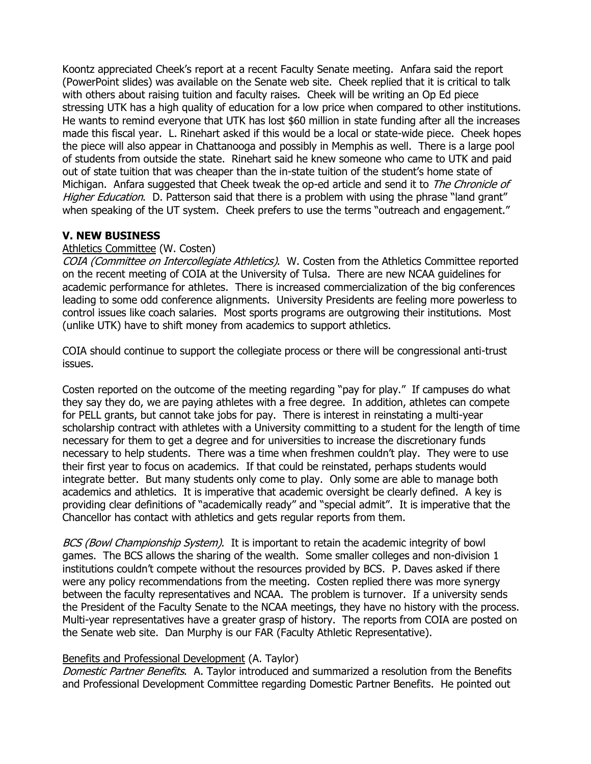Koontz appreciated Cheek's report at a recent Faculty Senate meeting. Anfara said the report (PowerPoint slides) was available on the Senate web site. Cheek replied that it is critical to talk with others about raising tuition and faculty raises. Cheek will be writing an Op Ed piece stressing UTK has a high quality of education for a low price when compared to other institutions. He wants to remind everyone that UTK has lost \$60 million in state funding after all the increases made this fiscal year. L. Rinehart asked if this would be a local or state-wide piece. Cheek hopes the piece will also appear in Chattanooga and possibly in Memphis as well. There is a large pool of students from outside the state. Rinehart said he knew someone who came to UTK and paid out of state tuition that was cheaper than the in-state tuition of the student's home state of Michigan. Anfara suggested that Cheek tweak the op-ed article and send it to The Chronicle of Higher Education. D. Patterson said that there is a problem with using the phrase "land grant" when speaking of the UT system. Cheek prefers to use the terms "outreach and engagement."

# **V. NEW BUSINESS**

## Athletics Committee (W. Costen)

COIA (Committee on Intercollegiate Athletics). W. Costen from the Athletics Committee reported on the recent meeting of COIA at the University of Tulsa. There are new NCAA guidelines for academic performance for athletes. There is increased commercialization of the big conferences leading to some odd conference alignments. University Presidents are feeling more powerless to control issues like coach salaries. Most sports programs are outgrowing their institutions. Most (unlike UTK) have to shift money from academics to support athletics.

COIA should continue to support the collegiate process or there will be congressional anti-trust issues.

Costen reported on the outcome of the meeting regarding "pay for play." If campuses do what they say they do, we are paying athletes with a free degree. In addition, athletes can compete for PELL grants, but cannot take jobs for pay. There is interest in reinstating a multi-year scholarship contract with athletes with a University committing to a student for the length of time necessary for them to get a degree and for universities to increase the discretionary funds necessary to help students. There was a time when freshmen couldn't play. They were to use their first year to focus on academics. If that could be reinstated, perhaps students would integrate better. But many students only come to play. Only some are able to manage both academics and athletics. It is imperative that academic oversight be clearly defined. A key is providing clear definitions of "academically ready" and "special admit". It is imperative that the Chancellor has contact with athletics and gets regular reports from them.

BCS (Bowl Championship System). It is important to retain the academic integrity of bowl games. The BCS allows the sharing of the wealth. Some smaller colleges and non-division 1 institutions couldn't compete without the resources provided by BCS. P. Daves asked if there were any policy recommendations from the meeting. Costen replied there was more synergy between the faculty representatives and NCAA. The problem is turnover. If a university sends the President of the Faculty Senate to the NCAA meetings, they have no history with the process. Multi-year representatives have a greater grasp of history. The reports from COIA are posted on the Senate web site. Dan Murphy is our FAR (Faculty Athletic Representative).

### Benefits and Professional Development (A. Taylor)

Domestic Partner Benefits. A. Taylor introduced and summarized a resolution from the Benefits and Professional Development Committee regarding Domestic Partner Benefits. He pointed out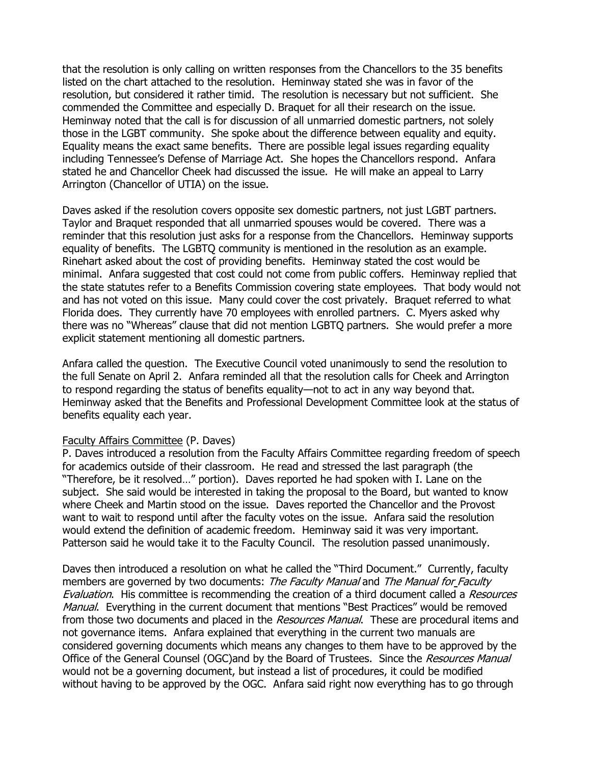that the resolution is only calling on written responses from the Chancellors to the 35 benefits listed on the chart attached to the resolution. Heminway stated she was in favor of the resolution, but considered it rather timid. The resolution is necessary but not sufficient. She commended the Committee and especially D. Braquet for all their research on the issue. Heminway noted that the call is for discussion of all unmarried domestic partners, not solely those in the LGBT community. She spoke about the difference between equality and equity. Equality means the exact same benefits. There are possible legal issues regarding equality including Tennessee's Defense of Marriage Act. She hopes the Chancellors respond. Anfara stated he and Chancellor Cheek had discussed the issue. He will make an appeal to Larry Arrington (Chancellor of UTIA) on the issue.

Daves asked if the resolution covers opposite sex domestic partners, not just LGBT partners. Taylor and Braquet responded that all unmarried spouses would be covered. There was a reminder that this resolution just asks for a response from the Chancellors. Heminway supports equality of benefits. The LGBTQ community is mentioned in the resolution as an example. Rinehart asked about the cost of providing benefits. Heminway stated the cost would be minimal. Anfara suggested that cost could not come from public coffers. Heminway replied that the state statutes refer to a Benefits Commission covering state employees. That body would not and has not voted on this issue. Many could cover the cost privately. Braquet referred to what Florida does. They currently have 70 employees with enrolled partners. C. Myers asked why there was no "Whereas" clause that did not mention LGBTQ partners. She would prefer a more explicit statement mentioning all domestic partners.

Anfara called the question. The Executive Council voted unanimously to send the resolution to the full Senate on April 2. Anfara reminded all that the resolution calls for Cheek and Arrington to respond regarding the status of benefits equality—not to act in any way beyond that. Heminway asked that the Benefits and Professional Development Committee look at the status of benefits equality each year.

### Faculty Affairs Committee (P. Daves)

P. Daves introduced a resolution from the Faculty Affairs Committee regarding freedom of speech for academics outside of their classroom. He read and stressed the last paragraph (the "Therefore, be it resolved…" portion). Daves reported he had spoken with I. Lane on the subject. She said would be interested in taking the proposal to the Board, but wanted to know where Cheek and Martin stood on the issue. Daves reported the Chancellor and the Provost want to wait to respond until after the faculty votes on the issue. Anfara said the resolution would extend the definition of academic freedom. Heminway said it was very important. Patterson said he would take it to the Faculty Council. The resolution passed unanimously.

Daves then introduced a resolution on what he called the "Third Document." Currently, faculty members are governed by two documents: The Faculty Manual and The Manual for Faculty Evaluation. His committee is recommending the creation of a third document called a Resources Manual. Everything in the current document that mentions "Best Practices" would be removed from those two documents and placed in the Resources Manual. These are procedural items and not governance items. Anfara explained that everything in the current two manuals are considered governing documents which means any changes to them have to be approved by the Office of the General Counsel (OGC)and by the Board of Trustees. Since the Resources Manual would not be a governing document, but instead a list of procedures, it could be modified without having to be approved by the OGC. Anfara said right now everything has to go through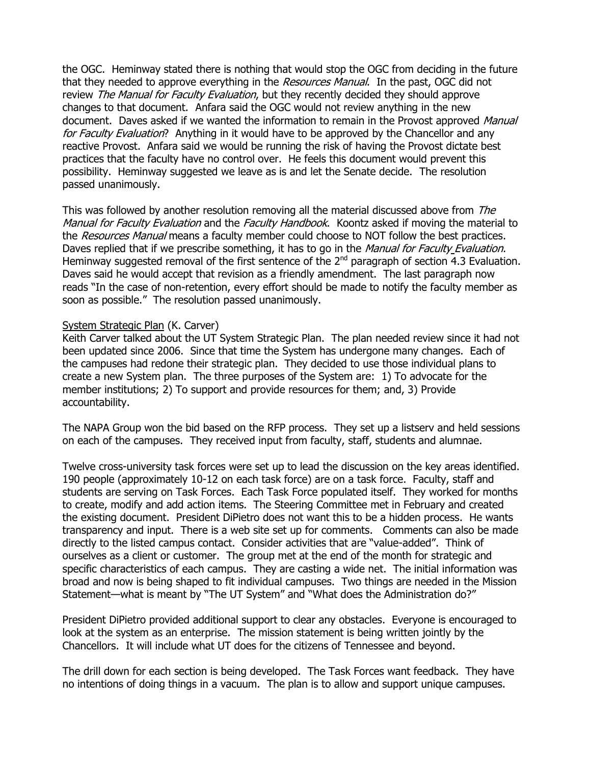the OGC. Heminway stated there is nothing that would stop the OGC from deciding in the future that they needed to approve everything in the Resources Manual. In the past, OGC did not review The Manual for Faculty Evaluation, but they recently decided they should approve changes to that document. Anfara said the OGC would not review anything in the new document. Daves asked if we wanted the information to remain in the Provost approved Manual for Faculty Evaluation? Anything in it would have to be approved by the Chancellor and any reactive Provost. Anfara said we would be running the risk of having the Provost dictate best practices that the faculty have no control over. He feels this document would prevent this possibility. Heminway suggested we leave as is and let the Senate decide. The resolution passed unanimously.

This was followed by another resolution removing all the material discussed above from The Manual for Faculty Evaluation and the Faculty Handbook. Koontz asked if moving the material to the Resources Manual means a faculty member could choose to NOT follow the best practices. Daves replied that if we prescribe something, it has to go in the *Manual for Faculty Evaluation*. Heminway suggested removal of the first sentence of the  $2^{nd}$  paragraph of section 4.3 Evaluation. Daves said he would accept that revision as a friendly amendment. The last paragraph now reads "In the case of non-retention, every effort should be made to notify the faculty member as soon as possible." The resolution passed unanimously.

### System Strategic Plan (K. Carver)

Keith Carver talked about the UT System Strategic Plan. The plan needed review since it had not been updated since 2006. Since that time the System has undergone many changes. Each of the campuses had redone their strategic plan. They decided to use those individual plans to create a new System plan. The three purposes of the System are: 1) To advocate for the member institutions; 2) To support and provide resources for them; and, 3) Provide accountability.

The NAPA Group won the bid based on the RFP process. They set up a listserv and held sessions on each of the campuses. They received input from faculty, staff, students and alumnae.

Twelve cross-university task forces were set up to lead the discussion on the key areas identified. 190 people (approximately 10-12 on each task force) are on a task force. Faculty, staff and students are serving on Task Forces. Each Task Force populated itself. They worked for months to create, modify and add action items. The Steering Committee met in February and created the existing document. President DiPietro does not want this to be a hidden process. He wants transparency and input. There is a web site set up for comments. Comments can also be made directly to the listed campus contact. Consider activities that are "value-added". Think of ourselves as a client or customer. The group met at the end of the month for strategic and specific characteristics of each campus. They are casting a wide net. The initial information was broad and now is being shaped to fit individual campuses. Two things are needed in the Mission Statement—what is meant by "The UT System" and "What does the Administration do?"

President DiPietro provided additional support to clear any obstacles. Everyone is encouraged to look at the system as an enterprise. The mission statement is being written jointly by the Chancellors. It will include what UT does for the citizens of Tennessee and beyond.

The drill down for each section is being developed. The Task Forces want feedback. They have no intentions of doing things in a vacuum. The plan is to allow and support unique campuses.